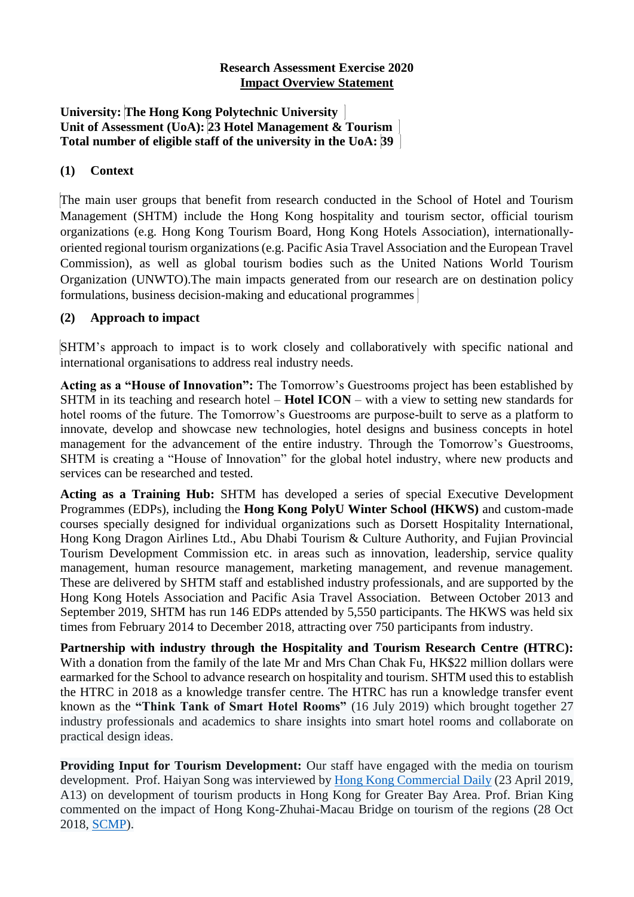#### **Research Assessment Exercise 2020 Impact Overview Statement**

#### **University: The Hong Kong Polytechnic University Unit of Assessment (UoA): 23 Hotel Management & Tourism Total number of eligible staff of the university in the UoA: 39**

## **(1) Context**

The main user groups that benefit from research conducted in the School of Hotel and Tourism Management (SHTM) include the Hong Kong hospitality and tourism sector, official tourism organizations (e.g. Hong Kong Tourism Board, Hong Kong Hotels Association), internationallyoriented regional tourism organizations (e.g. Pacific Asia Travel Association and the European Travel Commission), as well as global tourism bodies such as the United Nations World Tourism Organization (UNWTO).The main impacts generated from our research are on destination policy formulations, business decision-making and educational programmes

## **(2) Approach to impact**

SHTM's approach to impact is to work closely and collaboratively with specific national and international organisations to address real industry needs.

**Acting as a "House of Innovation":** The Tomorrow's Guestrooms project has been established by SHTM in its teaching and research hotel – **Hotel ICON** – with a view to setting new standards for hotel rooms of the future. The Tomorrow's Guestrooms are purpose-built to serve as a platform to innovate, develop and showcase new technologies, hotel designs and business concepts in hotel management for the advancement of the entire industry. Through the Tomorrow's Guestrooms, SHTM is creating a "House of Innovation" for the global hotel industry, where new products and services can be researched and tested.

**Acting as a Training Hub:** SHTM has developed a series of special Executive Development Programmes (EDPs), including the **Hong Kong PolyU Winter School (HKWS)** and custom-made courses specially designed for individual organizations such as Dorsett Hospitality International, Hong Kong Dragon Airlines Ltd., Abu Dhabi Tourism & Culture Authority, and Fujian Provincial Tourism Development Commission etc. in areas such as innovation, leadership, service quality management, human resource management, marketing management, and revenue management. These are delivered by SHTM staff and established industry professionals, and are supported by the Hong Kong Hotels Association and Pacific Asia Travel Association. Between October 2013 and September 2019, SHTM has run 146 EDPs attended by 5,550 participants. The HKWS was held six times from February 2014 to December 2018, attracting over 750 participants from industry.

**Partnership with industry through the Hospitality and Tourism Research Centre (HTRC):** With a donation from the family of the late Mr and Mrs Chan Chak Fu, HK\$22 million dollars were earmarked for the School to advance research on hospitality and tourism. SHTM used this to establish the HTRC in 2018 as a knowledge transfer centre. The HTRC has run a knowledge transfer event known as the **"Think Tank of Smart Hotel Rooms"** (16 July 2019) which brought together 27 industry professionals and academics to share insights into smart hotel rooms and collaborate on practical design ideas.

**Providing Input for Tourism Development:** Our staff have engaged with the media on tourism development. Prof. Haiyan Song was interviewed by [Hong Kong Commercial Daily](http://hk.hkcd.com/pdf/201904/0423/HA13423CEPA_HKCD.pdf) (23 April 2019, A13) on development of tourism products in Hong Kong for Greater Bay Area. Prof. Brian King commented on the impact of Hong Kong-Zhuhai-Macau Bridge on tourism of the regions (28 Oct 2018, [SCMP\)](https://www.scmp.com/news/hong-kong/transport/article/2170483/hong-kong-zhuhai-macau-bridge-can-mark-dawning-golden-age).